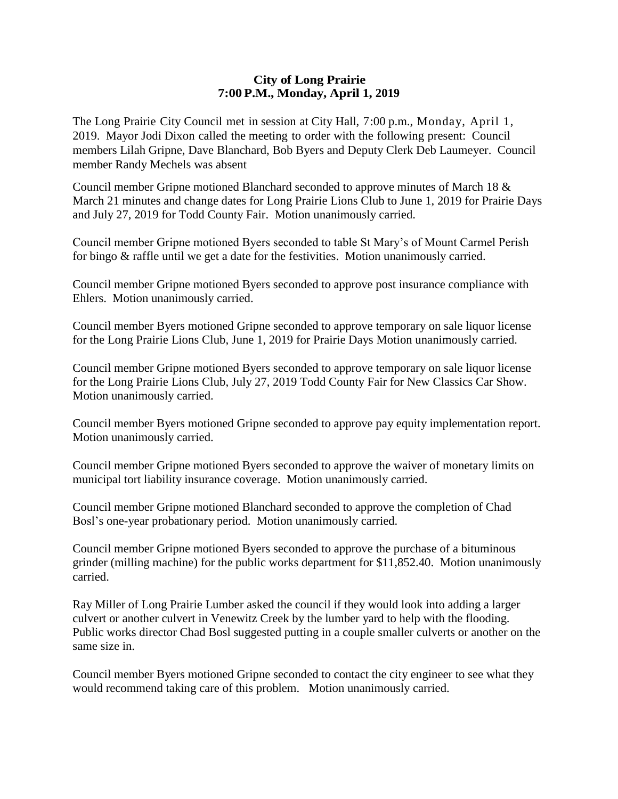## **City of Long Prairie 7:00P.M., Monday, April 1, 2019**

The Long Prairie City Council met in session at City Hall, 7:00 p.m., Monday, April 1, 2019. Mayor Jodi Dixon called the meeting to order with the following present: Council members Lilah Gripne, Dave Blanchard, Bob Byers and Deputy Clerk Deb Laumeyer. Council member Randy Mechels was absent

Council member Gripne motioned Blanchard seconded to approve minutes of March 18 & March 21 minutes and change dates for Long Prairie Lions Club to June 1, 2019 for Prairie Days and July 27, 2019 for Todd County Fair. Motion unanimously carried.

Council member Gripne motioned Byers seconded to table St Mary's of Mount Carmel Perish for bingo & raffle until we get a date for the festivities. Motion unanimously carried.

Council member Gripne motioned Byers seconded to approve post insurance compliance with Ehlers. Motion unanimously carried.

Council member Byers motioned Gripne seconded to approve temporary on sale liquor license for the Long Prairie Lions Club, June 1, 2019 for Prairie Days Motion unanimously carried.

Council member Gripne motioned Byers seconded to approve temporary on sale liquor license for the Long Prairie Lions Club, July 27, 2019 Todd County Fair for New Classics Car Show. Motion unanimously carried.

Council member Byers motioned Gripne seconded to approve pay equity implementation report. Motion unanimously carried.

Council member Gripne motioned Byers seconded to approve the waiver of monetary limits on municipal tort liability insurance coverage. Motion unanimously carried.

Council member Gripne motioned Blanchard seconded to approve the completion of Chad Bosl's one-year probationary period. Motion unanimously carried.

Council member Gripne motioned Byers seconded to approve the purchase of a bituminous grinder (milling machine) for the public works department for \$11,852.40. Motion unanimously carried.

Ray Miller of Long Prairie Lumber asked the council if they would look into adding a larger culvert or another culvert in Venewitz Creek by the lumber yard to help with the flooding. Public works director Chad Bosl suggested putting in a couple smaller culverts or another on the same size in.

Council member Byers motioned Gripne seconded to contact the city engineer to see what they would recommend taking care of this problem. Motion unanimously carried.